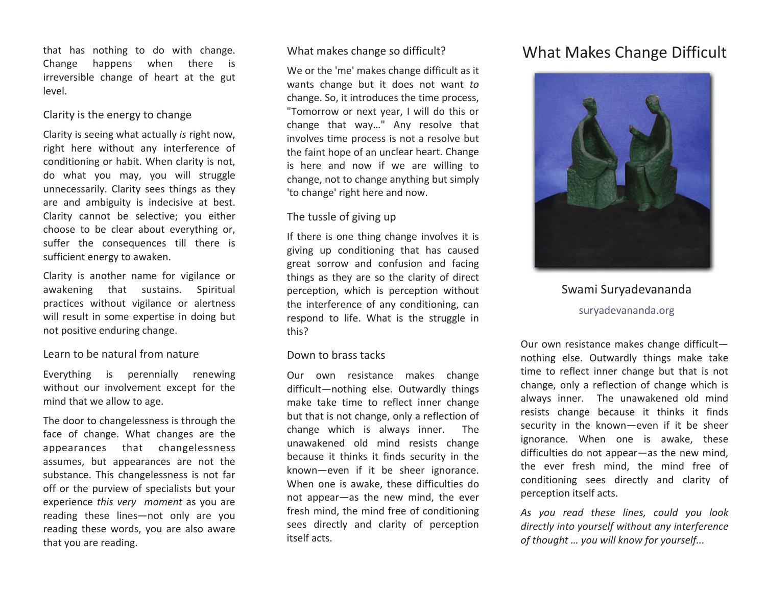that has nothing to do with change. Change happens when there is irreversible change of heart at the gut level.

## Clarity is the energy to change

Clarity is seeing what actually *is* right now, right here without any interference of conditioning or habit. When clarity is not, do what you may, you will struggle unnecessarily. Clarity sees things as they are and ambiguity is indecisive at best. Clarity cannot be selective; you either choose to be clear about everything or, suffer the consequences till there is sufficient energy to awaken.

Clarity is another name for vigilance or awakening that sustains. Spiritual practices without vigilance or alertness will result in some expertise in doing but not positive enduring change.

## Learn to be natural from nature

Everything is perennially renewing without our involvement except for the mind that we allow to age.

The door to changelessness is through the face of change. What changes are the appearances that changelessness assumes, but appearances are not the substance. This changelessness is not far off or the purview of specialists but your experience *this very moment* as you are reading these lines—not only are you reading these words, you are also aware that you are reading.

## What makes change so difficult?

We or the 'me' makes change difficult as it wants change but it does not want *to* change. So, it introduces the time process, "Tomorrow or next year, I will do this or change that way…" Any resolve that involves time process is not <sup>a</sup> resolve but the faint hope of an unclear heart. Change is her e and now if we are willing to change, not to change anything but simply 'to change' right here and now.

## The tussle of giving up

If there is one thing change involves it is giving up conditioning that has caused great sorrow and confusion and facing things as they are so the clarity of direct perception, which is perception without the interference of any conditioning, can respond to life. What is the struggle in this?

## Down to brass tacks

Our own resistance makes change difficult—nothing else. Outwardly things make take time to reflect inner change but that is not change, only <sup>a</sup> reflection of change which is always inner. The unawakened old mind resists change because it thinks it finds security in the known—even if it be sheer ignorance. When one is awake, these difficulties do not appear—as the new mind, the ever fresh mind, the mind free of conditioning sees directly and clarity of perception itself acts.

# What Makes Change Difficult



Swami Suryadevananda suryadevananda.org

Our own resistance makes change difficult nothing else. Outwardly things make take time to reflect inner change but that is not change, only <sup>a</sup> reflection of change which is always inner. The unawakened old mind resists change because it thinks it finds security in the known—even if it be sheer ignorance. When one is awake, these difficulties do not appear—as the new mind, the ever fresh mind, the mind free of conditioning sees directly and clarity of perception itself acts.

*As you read these lines, could you look directly into yourself without any interference of thought … you will know for yourself...*